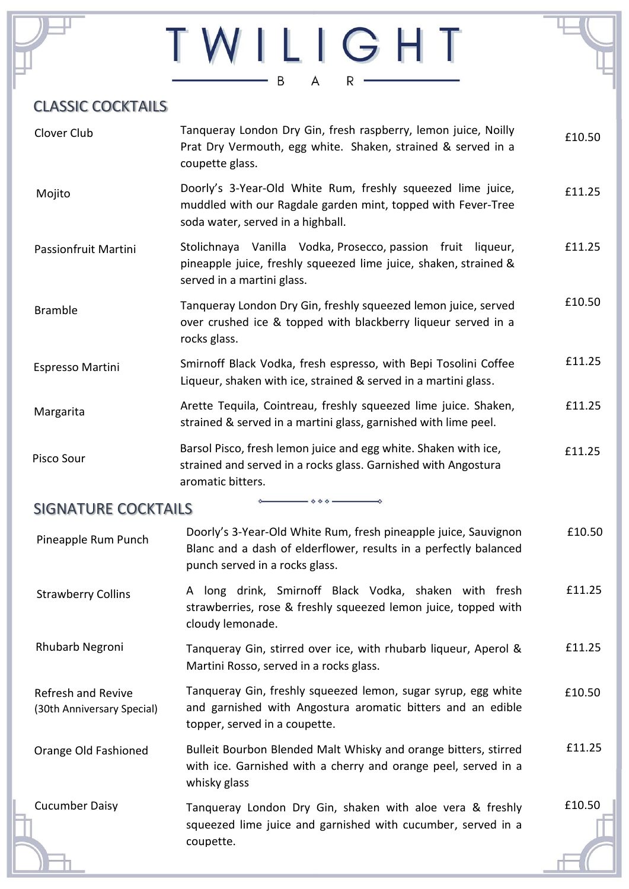# TWILIGHT

# CLASSIC COCKTAILS

| Tanqueray London Dry Gin, fresh raspberry, lemon juice, Noilly<br>Prat Dry Vermouth, egg white. Shaken, strained & served in a<br>coupette glass.                     | £10.50 |
|-----------------------------------------------------------------------------------------------------------------------------------------------------------------------|--------|
| Doorly's 3-Year-Old White Rum, freshly squeezed lime juice,<br>muddled with our Ragdale garden mint, topped with Fever-Tree<br>soda water, served in a highball.      | £11.25 |
| Stolichnaya Vanilla Vodka, Prosecco, passion fruit liqueur,<br>pineapple juice, freshly squeezed lime juice, shaken, strained &<br>served in a martini glass.         | £11.25 |
| Tanqueray London Dry Gin, freshly squeezed lemon juice, served<br>over crushed ice & topped with blackberry liqueur served in a<br>rocks glass.                       | £10.50 |
| Smirnoff Black Vodka, fresh espresso, with Bepi Tosolini Coffee<br>Liqueur, shaken with ice, strained & served in a martini glass.                                    | £11.25 |
| Arette Tequila, Cointreau, freshly squeezed lime juice. Shaken,<br>strained & served in a martini glass, garnished with lime peel.                                    | £11.25 |
| Barsol Pisco, fresh lemon juice and egg white. Shaken with ice,<br>strained and served in a rocks glass. Garnished with Angostura<br>aromatic bitters.                | £11.25 |
| $\circ \circ \circ \longrightarrow$<br><b>SIGNATURE COCKTAILS</b>                                                                                                     |        |
| Doorly's 3-Year-Old White Rum, fresh pineapple juice, Sauvignon<br>Blanc and a dash of elderflower, results in a perfectly balanced<br>punch served in a rocks glass. | £10.50 |
| A long drink, Smirnoff Black Vodka, shaken with fresh<br>strawberries, rose & freshly squeezed lemon juice, topped with<br>cloudy lemonade.                           | £11.25 |
| Tanqueray Gin, stirred over ice, with rhubarb liqueur, Aperol &<br>Martini Rosso, served in a rocks glass.                                                            | £11.25 |
| Tanqueray Gin, freshly squeezed lemon, sugar syrup, egg white<br>and garnished with Angostura aromatic bitters and an edible<br>topper, served in a coupette.         | £10.50 |
| Bulleit Bourbon Blended Malt Whisky and orange bitters, stirred<br>with ice. Garnished with a cherry and orange peel, served in a<br>whisky glass                     | £11.25 |
| Tanqueray London Dry Gin, shaken with aloe vera & freshly<br>squeezed lime juice and garnished with cucumber, served in a<br>coupette.                                | £10.50 |
|                                                                                                                                                                       |        |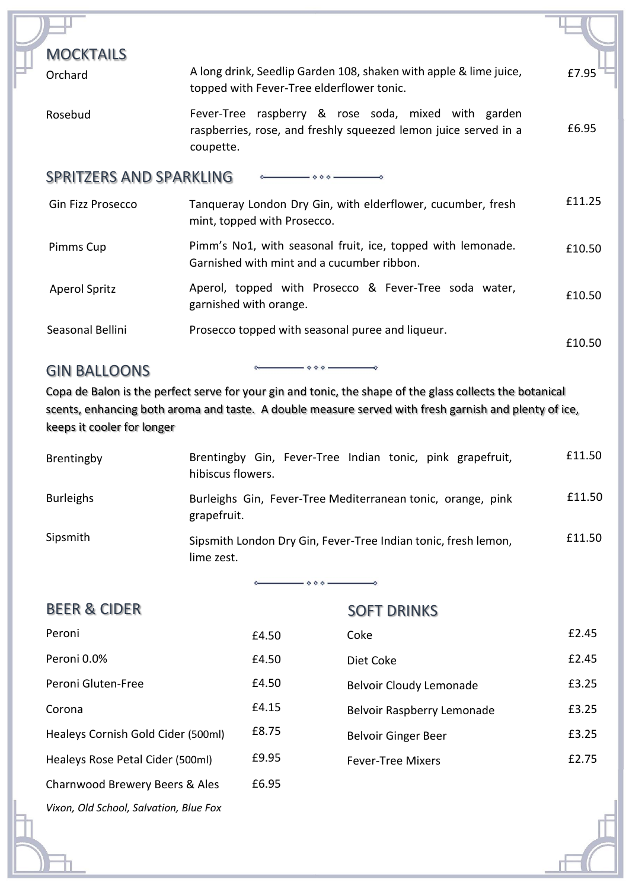| <b>MOCKTAILS</b>               |                                                                                                                                     |        |
|--------------------------------|-------------------------------------------------------------------------------------------------------------------------------------|--------|
| Orchard                        | A long drink, Seedlip Garden 108, shaken with apple & lime juice,<br>topped with Fever-Tree elderflower tonic.                      | £7.95  |
| Rosebud                        | Fever-Tree raspberry & rose soda, mixed with garden<br>raspberries, rose, and freshly squeezed lemon juice served in a<br>coupette. | £6.95  |
| <b>SPRITZERS AND SPARKLING</b> |                                                                                                                                     |        |
| Gin Fizz Prosecco              | Tanqueray London Dry Gin, with elderflower, cucumber, fresh<br>mint, topped with Prosecco.                                          | £11.25 |
| Pimms Cup                      | Pimm's No1, with seasonal fruit, ice, topped with lemonade.<br>Garnished with mint and a cucumber ribbon.                           | £10.50 |
| <b>Aperol Spritz</b>           | Aperol, topped with Prosecco & Fever-Tree soda water,<br>garnished with orange.                                                     | £10.50 |
| Seasonal Bellini               | Prosecco topped with seasonal puree and liqueur.                                                                                    | £10.50 |

## GIN BALLOONS

Copa de Balon is the perfect serve for your gin and tonic, the shape of the glass collects the botanical scents, enhancing both aroma and taste. A double measure served with fresh garnish and plenty of ice, keeps it cooler for longer

 $\diamond$   $\diamond$   $\diamond$   $-$ 

| Brentingby       | Brentingby Gin, Fever-Tree Indian tonic, pink grapefruit,<br>hibiscus flowers. | £11.50 |
|------------------|--------------------------------------------------------------------------------|--------|
| <b>Burleighs</b> | Burleighs Gin, Fever-Tree Mediterranean tonic, orange, pink<br>grapefruit.     | £11.50 |
| Sipsmith         | Sipsmith London Dry Gin, Fever-Tree Indian tonic, fresh lemon,<br>lime zest.   | £11.50 |

 $\diamond \diamond \diamond -$ 

| <b>BEER &amp; CIDER</b>                |       | <b>SOFT DRINKS</b>             |       |
|----------------------------------------|-------|--------------------------------|-------|
| Peroni                                 | £4.50 | Coke                           | £2.45 |
| Peroni 0.0%                            | £4.50 | Diet Coke                      | £2.45 |
| Peroni Gluten-Free                     | £4.50 | <b>Belvoir Cloudy Lemonade</b> | £3.25 |
| Corona                                 | £4.15 | Belvoir Raspberry Lemonade     | £3.25 |
| Healeys Cornish Gold Cider (500ml)     | £8.75 | Belvoir Ginger Beer            | £3.25 |
| Healeys Rose Petal Cider (500ml)       | £9.95 | <b>Fever-Tree Mixers</b>       | £2.75 |
| Charnwood Brewery Beers & Ales         | £6.95 |                                |       |
| Vixon, Old School, Salvation, Blue Fox |       |                                |       |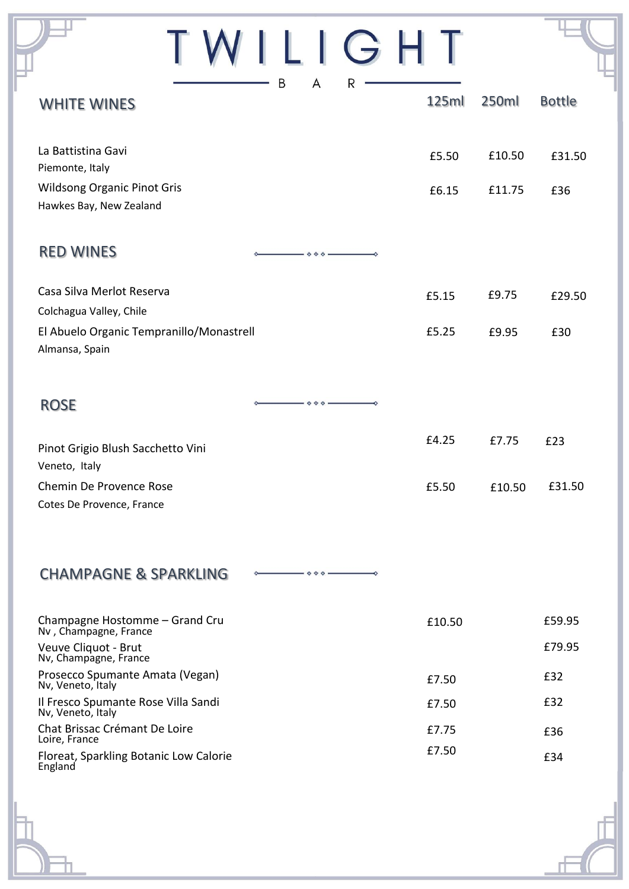| ILIGHT                                                                                     |        |        |               |
|--------------------------------------------------------------------------------------------|--------|--------|---------------|
| B<br>A<br>R<br><b>WHITE WINES</b>                                                          | 125ml  | 250ml  | <b>Bottle</b> |
| La Battistina Gavi<br>Piemonte, Italy                                                      | £5.50  | £10.50 | £31.50        |
| <b>Wildsong Organic Pinot Gris</b><br>Hawkes Bay, New Zealand                              | £6.15  | £11.75 | £36           |
| <b>RED WINES</b><br>$\diamond$ $\diamond$ $\diamond$                                       |        |        |               |
| Casa Silva Merlot Reserva<br>Colchagua Valley, Chile                                       | £5.15  | £9.75  | £29.50        |
| El Abuelo Organic Tempranillo/Monastrell<br>Almansa, Spain                                 | £5.25  | £9.95  | £30           |
| <b>ROSE</b>                                                                                |        |        |               |
| Pinot Grigio Blush Sacchetto Vini<br>Veneto, Italy                                         | £4.25  | £7.75  | £23           |
| Chemin De Provence Rose<br>Cotes De Provence, France                                       | £5.50  | £10.50 | £31.50        |
| <b>CHAMPAGNE &amp; SPARKLING</b><br>$\rightarrow \diamond \diamond \diamond$ $\rightarrow$ |        |        |               |
| Champagne Hostomme - Grand Cru<br>Nv, Champagne, France                                    | £10.50 |        | £59.95        |
| Veuve Cliquot - Brut<br>Nv, Champagne, France                                              |        |        | £79.95        |
| Prosecco Spumante Amata (Vegan)<br>Nv, Veneto, Italy                                       | £7.50  |        | £32           |
| Il Fresco Spumante Rose Villa Sandi<br>Nv, Veneto, Italy                                   | £7.50  |        | £32           |
| Chat Brissac Crémant De Loire<br>Loire, France                                             | £7.75  |        | £36           |
| Floreat, Sparkling Botanic Low Calorie<br>England                                          | £7.50  |        | £34           |

F